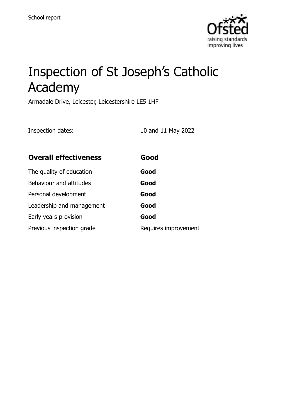

# Inspection of St Joseph's Catholic Academy

Armadale Drive, Leicester, Leicestershire LE5 1HF

Inspection dates: 10 and 11 May 2022

| <b>Overall effectiveness</b> | Good                 |
|------------------------------|----------------------|
| The quality of education     | Good                 |
| Behaviour and attitudes      | Good                 |
| Personal development         | Good                 |
| Leadership and management    | Good                 |
| Early years provision        | Good                 |
| Previous inspection grade    | Requires improvement |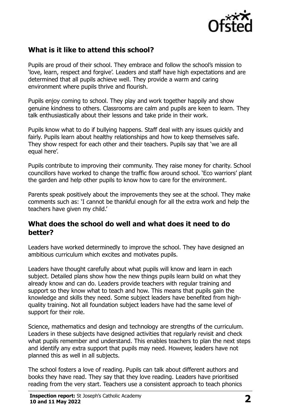

# **What is it like to attend this school?**

Pupils are proud of their school. They embrace and follow the school's mission to 'love, learn, respect and forgive'. Leaders and staff have high expectations and are determined that all pupils achieve well. They provide a warm and caring environment where pupils thrive and flourish.

Pupils enjoy coming to school. They play and work together happily and show genuine kindness to others. Classrooms are calm and pupils are keen to learn. They talk enthusiastically about their lessons and take pride in their work.

Pupils know what to do if bullying happens. Staff deal with any issues quickly and fairly. Pupils learn about healthy relationships and how to keep themselves safe. They show respect for each other and their teachers. Pupils say that 'we are all equal here'.

Pupils contribute to improving their community. They raise money for charity. School councillors have worked to change the traffic flow around school. 'Eco warriors' plant the garden and help other pupils to know how to care for the environment.

Parents speak positively about the improvements they see at the school. They make comments such as: 'I cannot be thankful enough for all the extra work and help the teachers have given my child.'

#### **What does the school do well and what does it need to do better?**

Leaders have worked determinedly to improve the school. They have designed an ambitious curriculum which excites and motivates pupils.

Leaders have thought carefully about what pupils will know and learn in each subject. Detailed plans show how the new things pupils learn build on what they already know and can do. Leaders provide teachers with regular training and support so they know what to teach and how. This means that pupils gain the knowledge and skills they need. Some subject leaders have benefited from highquality training. Not all foundation subject leaders have had the same level of support for their role.

Science, mathematics and design and technology are strengths of the curriculum. Leaders in these subjects have designed activities that regularly revisit and check what pupils remember and understand. This enables teachers to plan the next steps and identify any extra support that pupils may need. However, leaders have not planned this as well in all subjects.

The school fosters a love of reading. Pupils can talk about different authors and books they have read. They say that they love reading. Leaders have prioritised reading from the very start. Teachers use a consistent approach to teach phonics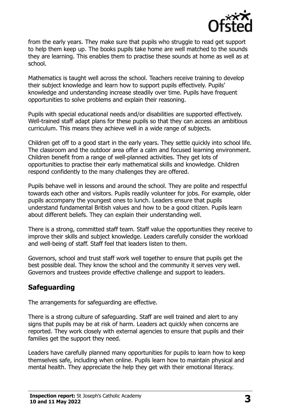

from the early years. They make sure that pupils who struggle to read get support to help them keep up. The books pupils take home are well matched to the sounds they are learning. This enables them to practise these sounds at home as well as at school.

Mathematics is taught well across the school. Teachers receive training to develop their subject knowledge and learn how to support pupils effectively. Pupils' knowledge and understanding increase steadily over time. Pupils have frequent opportunities to solve problems and explain their reasoning.

Pupils with special educational needs and/or disabilities are supported effectively. Well-trained staff adapt plans for these pupils so that they can access an ambitious curriculum. This means they achieve well in a wide range of subjects.

Children get off to a good start in the early years. They settle quickly into school life. The classroom and the outdoor area offer a calm and focused learning environment. Children benefit from a range of well-planned activities. They get lots of opportunities to practise their early mathematical skills and knowledge. Children respond confidently to the many challenges they are offered.

Pupils behave well in lessons and around the school. They are polite and respectful towards each other and visitors. Pupils readily volunteer for jobs. For example, older pupils accompany the youngest ones to lunch. Leaders ensure that pupils understand fundamental British values and how to be a good citizen. Pupils learn about different beliefs. They can explain their understanding well.

There is a strong, committed staff team. Staff value the opportunities they receive to improve their skills and subject knowledge. Leaders carefully consider the workload and well-being of staff. Staff feel that leaders listen to them.

Governors, school and trust staff work well together to ensure that pupils get the best possible deal. They know the school and the community it serves very well. Governors and trustees provide effective challenge and support to leaders.

# **Safeguarding**

The arrangements for safeguarding are effective.

There is a strong culture of safeguarding. Staff are well trained and alert to any signs that pupils may be at risk of harm. Leaders act quickly when concerns are reported. They work closely with external agencies to ensure that pupils and their families get the support they need.

Leaders have carefully planned many opportunities for pupils to learn how to keep themselves safe, including when online. Pupils learn how to maintain physical and mental health. They appreciate the help they get with their emotional literacy.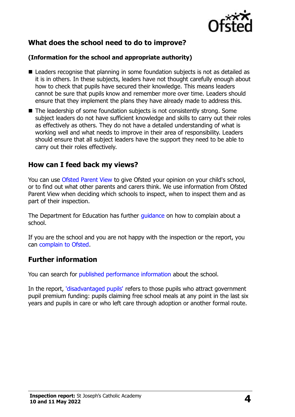

# **What does the school need to do to improve?**

#### **(Information for the school and appropriate authority)**

- Leaders recognise that planning in some foundation subjects is not as detailed as it is in others. In these subjects, leaders have not thought carefully enough about how to check that pupils have secured their knowledge. This means leaders cannot be sure that pupils know and remember more over time. Leaders should ensure that they implement the plans they have already made to address this.
- The leadership of some foundation subjects is not consistently strong. Some subject leaders do not have sufficient knowledge and skills to carry out their roles as effectively as others. They do not have a detailed understanding of what is working well and what needs to improve in their area of responsibility. Leaders should ensure that all subject leaders have the support they need to be able to carry out their roles effectively.

### **How can I feed back my views?**

You can use [Ofsted Parent View](http://parentview.ofsted.gov.uk/) to give Ofsted your opinion on your child's school, or to find out what other parents and carers think. We use information from Ofsted Parent View when deciding which schools to inspect, when to inspect them and as part of their inspection.

The Department for Education has further quidance on how to complain about a school.

If you are the school and you are not happy with the inspection or the report, you can [complain to Ofsted.](http://www.gov.uk/complain-ofsted-report)

### **Further information**

You can search for [published performance information](http://www.compare-school-performance.service.gov.uk/) about the school.

In the report, ['disadvantaged pupils'](http://www.gov.uk/guidance/pupil-premium-information-for-schools-and-alternative-provision-settings) refers to those pupils who attract government pupil premium funding: pupils claiming free school meals at any point in the last six years and pupils in care or who left care through adoption or another formal route.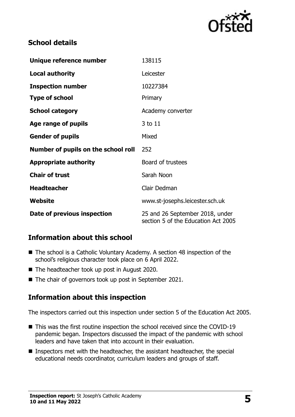

## **School details**

| Unique reference number             | 138115                                                                 |  |
|-------------------------------------|------------------------------------------------------------------------|--|
| <b>Local authority</b>              | Leicester                                                              |  |
| <b>Inspection number</b>            | 10227384                                                               |  |
| <b>Type of school</b>               | Primary                                                                |  |
| <b>School category</b>              | Academy converter                                                      |  |
| Age range of pupils                 | 3 to 11                                                                |  |
| <b>Gender of pupils</b>             | Mixed                                                                  |  |
| Number of pupils on the school roll | 252                                                                    |  |
| <b>Appropriate authority</b>        | Board of trustees                                                      |  |
| <b>Chair of trust</b>               | Sarah Noon                                                             |  |
| <b>Headteacher</b>                  | Clair Dedman                                                           |  |
| Website                             | www.st-josephs.leicester.sch.uk                                        |  |
| Date of previous inspection         | 25 and 26 September 2018, under<br>section 5 of the Education Act 2005 |  |

# **Information about this school**

- The school is a Catholic Voluntary Academy. A section 48 inspection of the school's religious character took place on 6 April 2022.
- The headteacher took up post in August 2020.
- The chair of governors took up post in September 2021.

### **Information about this inspection**

The inspectors carried out this inspection under section 5 of the Education Act 2005.

- This was the first routine inspection the school received since the COVID-19 pandemic began. Inspectors discussed the impact of the pandemic with school leaders and have taken that into account in their evaluation.
- Inspectors met with the headteacher, the assistant headteacher, the special educational needs coordinator, curriculum leaders and groups of staff.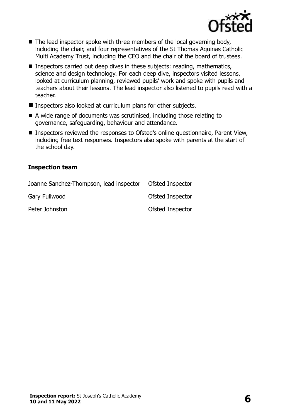

- The lead inspector spoke with three members of the local governing body, including the chair, and four representatives of the St Thomas Aquinas Catholic Multi Academy Trust, including the CEO and the chair of the board of trustees.
- Inspectors carried out deep dives in these subjects: reading, mathematics, science and design technology. For each deep dive, inspectors visited lessons, looked at curriculum planning, reviewed pupils' work and spoke with pupils and teachers about their lessons. The lead inspector also listened to pupils read with a teacher.
- Inspectors also looked at curriculum plans for other subjects.
- A wide range of documents was scrutinised, including those relating to governance, safeguarding, behaviour and attendance.
- Inspectors reviewed the responses to Ofsted's online questionnaire, Parent View, including free text responses. Inspectors also spoke with parents at the start of the school day.

#### **Inspection team**

| Joanne Sanchez-Thompson, lead inspector | Ofsted Inspector |
|-----------------------------------------|------------------|
| Gary Fullwood                           | Ofsted Inspector |
| Peter Johnston                          | Ofsted Inspector |